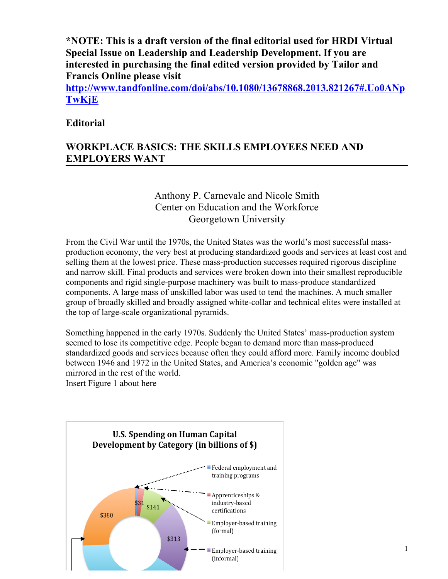**\*NOTE: This is a draft version of the final editorial used for HRDI Virtual Special Issue on Leadership and Leadership Development. If you are interested in purchasing the final edited version provided by Tailor and Francis Online please visit**

**http://www.tandfonline.com/doi/abs/10.1080/13678868.2013.821267#.Uo0ANp TwKjE**

# **Editorial**

# **WORKPLACE BASICS: THE SKILLS EMPLOYEES NEED AND EMPLOYERS WANT**

# Anthony P. Carnevale and Nicole Smith Center on Education and the Workforce Georgetown University

From the Civil War until the 1970s, the United States was the world's most successful massproduction economy, the very best at producing standardized goods and services at least cost and selling them at the lowest price. These mass-production successes required rigorous discipline and narrow skill. Final products and services were broken down into their smallest reproducible components and rigid single-purpose machinery was built to mass-produce standardized components. A large mass of unskilled labor was used to tend the machines. A much smaller group of broadly skilled and broadly assigned white-collar and technical elites were installed at the top of large-scale organizational pyramids.

Something happened in the early 1970s. Suddenly the United States' mass-production system seemed to lose its competitive edge. People began to demand more than mass-produced standardized goods and services because often they could afford more. Family income doubled between 1946 and 1972 in the United States, and America's economic "golden age" was mirrored in the rest of the world. Insert Figure 1 about here

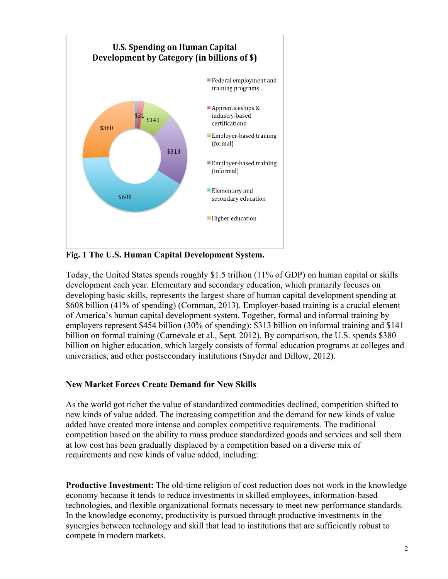

**Fig. 1 The U.S. Human Capital Development System.**

Today, the United States spends roughly \$1.5 trillion (11% of GDP) on human capital or skills development each year. Elementary and secondary education, which primarily focuses on developing basic skills, represents the largest share of human capital development spending at \$608 billion (41% of spending) (Cornman, 2013). Employer-based training is a crucial element of America's human capital development system. Together, formal and informal training by employers represent \$454 billion (30% of spending): \$313 billion on informal training and \$141 billion on formal training (Carnevale et al., Sept. 2012). By comparison, the U.S. spends \$380 billion on higher education, which largely consists of formal education programs at colleges and universities, and other postsecondary institutions (Snyder and Dillow, 2012).

### **New Market Forces Create Demand for New Skills**

As the world got richer the value of standardized commodities declined, competition shifted to new kinds of value added. The increasing competition and the demand for new kinds of value added have created more intense and complex competitive requirements. The traditional competition based on the ability to mass produce standardized goods and services and sell them at low cost has been gradually displaced by a competition based on a diverse mix of requirements and new kinds of value added, including:

**Productive Investment:** The old-time religion of cost reduction does not work in the knowledge economy because it tends to reduce investments in skilled employees, information-based technologies, and flexible organizational formats necessary to meet new performance standards. In the knowledge economy, productivity is pursued through productive investments in the synergies between technology and skill that lead to institutions that are sufficiently robust to compete in modern markets.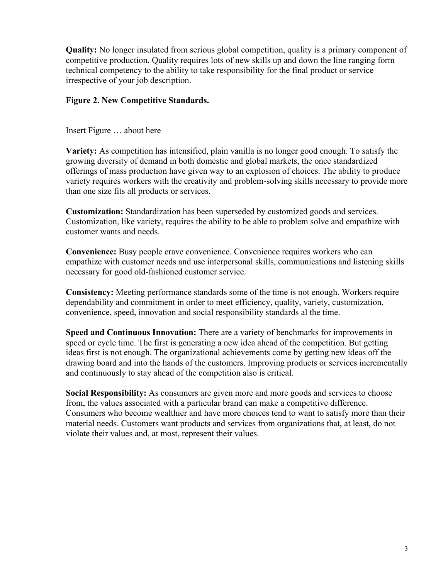**Quality:** No longer insulated from serious global competition, quality is a primary component of competitive production. Quality requires lots of new skills up and down the line ranging form technical competency to the ability to take responsibility for the final product or service irrespective of your job description.

#### **Figure 2. New Competitive Standards.**

Insert Figure … about here

**Variety:** As competition has intensified, plain vanilla is no longer good enough. To satisfy the growing diversity of demand in both domestic and global markets, the once standardized offerings of mass production have given way to an explosion of choices. The ability to produce variety requires workers with the creativity and problem-solving skills necessary to provide more than one size fits all products or services.

**Customization:** Standardization has been superseded by customized goods and services. Customization, like variety, requires the ability to be able to problem solve and empathize with customer wants and needs.

**Convenience:** Busy people crave convenience. Convenience requires workers who can empathize with customer needs and use interpersonal skills, communications and listening skills necessary for good old-fashioned customer service.

**Consistency:** Meeting performance standards some of the time is not enough. Workers require dependability and commitment in order to meet efficiency, quality, variety, customization, convenience, speed, innovation and social responsibility standards al the time.

**Speed and Continuous Innovation:** There are a variety of benchmarks for improvements in speed or cycle time. The first is generating a new idea ahead of the competition. But getting ideas first is not enough. The organizational achievements come by getting new ideas off the drawing board and into the hands of the customers. Improving products or services incrementally and continuously to stay ahead of the competition also is critical.

**Social Responsibility:** As consumers are given more and more goods and services to choose from, the values associated with a particular brand can make a competitive difference. Consumers who become wealthier and have more choices tend to want to satisfy more than their material needs. Customers want products and services from organizations that, at least, do not violate their values and, at most, represent their values.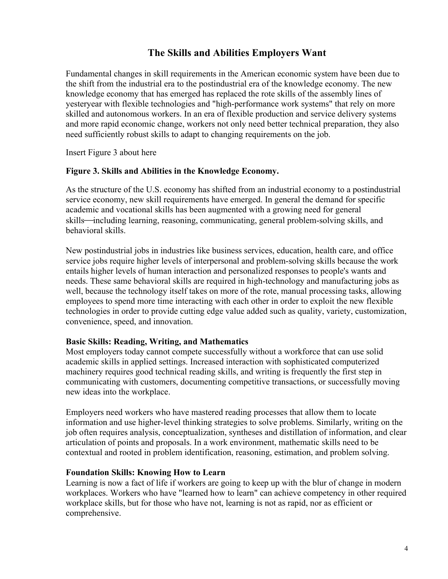# **The Skills and Abilities Employers Want**

Fundamental changes in skill requirements in the American economic system have been due to the shift from the industrial era to the postindustrial era of the knowledge economy. The new knowledge economy that has emerged has replaced the rote skills of the assembly lines of yesteryear with flexible technologies and "high-performance work systems" that rely on more skilled and autonomous workers. In an era of flexible production and service delivery systems and more rapid economic change, workers not only need better technical preparation, they also need sufficiently robust skills to adapt to changing requirements on the job.

Insert Figure 3 about here

#### **Figure 3. Skills and Abilities in the Knowledge Economy.**

As the structure of the U.S. economy has shifted from an industrial economy to a postindustrial service economy, new skill requirements have emerged. In general the demand for specific academic and vocational skills has been augmented with a growing need for general skills—including learning, reasoning, communicating, general problem-solving skills, and behavioral skills.

New postindustrial jobs in industries like business services, education, health care, and office service jobs require higher levels of interpersonal and problem-solving skills because the work entails higher levels of human interaction and personalized responses to people's wants and needs. These same behavioral skills are required in high-technology and manufacturing jobs as well, because the technology itself takes on more of the rote, manual processing tasks, allowing employees to spend more time interacting with each other in order to exploit the new flexible technologies in order to provide cutting edge value added such as quality, variety, customization, convenience, speed, and innovation.

### **Basic Skills: Reading, Writing, and Mathematics**

Most employers today cannot compete successfully without a workforce that can use solid academic skills in applied settings. Increased interaction with sophisticated computerized machinery requires good technical reading skills, and writing is frequently the first step in communicating with customers, documenting competitive transactions, or successfully moving new ideas into the workplace.

Employers need workers who have mastered reading processes that allow them to locate information and use higher-level thinking strategies to solve problems. Similarly, writing on the job often requires analysis, conceptualization, syntheses and distillation of information, and clear articulation of points and proposals. In a work environment, mathematic skills need to be contextual and rooted in problem identification, reasoning, estimation, and problem solving.

### **Foundation Skills: Knowing How to Learn**

Learning is now a fact of life if workers are going to keep up with the blur of change in modern workplaces. Workers who have "learned how to learn" can achieve competency in other required workplace skills, but for those who have not, learning is not as rapid, nor as efficient or comprehensive.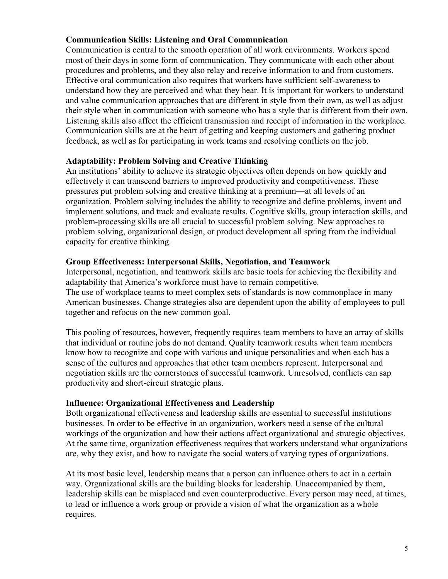### **Communication Skills: Listening and Oral Communication**

Communication is central to the smooth operation of all work environments. Workers spend most of their days in some form of communication. They communicate with each other about procedures and problems, and they also relay and receive information to and from customers. Effective oral communication also requires that workers have sufficient self-awareness to understand how they are perceived and what they hear. It is important for workers to understand and value communication approaches that are different in style from their own, as well as adjust their style when in communication with someone who has a style that is different from their own. Listening skills also affect the efficient transmission and receipt of information in the workplace. Communication skills are at the heart of getting and keeping customers and gathering product feedback, as well as for participating in work teams and resolving conflicts on the job.

### **Adaptability: Problem Solving and Creative Thinking**

An institutions' ability to achieve its strategic objectives often depends on how quickly and effectively it can transcend barriers to improved productivity and competitiveness. These pressures put problem solving and creative thinking at a premium—at all levels of an organization. Problem solving includes the ability to recognize and define problems, invent and implement solutions, and track and evaluate results. Cognitive skills, group interaction skills, and problem-processing skills are all crucial to successful problem solving. New approaches to problem solving, organizational design, or product development all spring from the individual capacity for creative thinking.

#### **Group Effectiveness: Interpersonal Skills, Negotiation, and Teamwork**

Interpersonal, negotiation, and teamwork skills are basic tools for achieving the flexibility and adaptability that America's workforce must have to remain competitive. The use of workplace teams to meet complex sets of standards is now commonplace in many American businesses. Change strategies also are dependent upon the ability of employees to pull together and refocus on the new common goal.

This pooling of resources, however, frequently requires team members to have an array of skills that individual or routine jobs do not demand. Quality teamwork results when team members know how to recognize and cope with various and unique personalities and when each has a sense of the cultures and approaches that other team members represent. Interpersonal and negotiation skills are the cornerstones of successful teamwork. Unresolved, conflicts can sap productivity and short-circuit strategic plans.

### **Influence: Organizational Effectiveness and Leadership**

Both organizational effectiveness and leadership skills are essential to successful institutions businesses. In order to be effective in an organization, workers need a sense of the cultural workings of the organization and how their actions affect organizational and strategic objectives. At the same time, organization effectiveness requires that workers understand what organizations are, why they exist, and how to navigate the social waters of varying types of organizations.

At its most basic level, leadership means that a person can influence others to act in a certain way. Organizational skills are the building blocks for leadership. Unaccompanied by them, leadership skills can be misplaced and even counterproductive. Every person may need, at times, to lead or influence a work group or provide a vision of what the organization as a whole requires.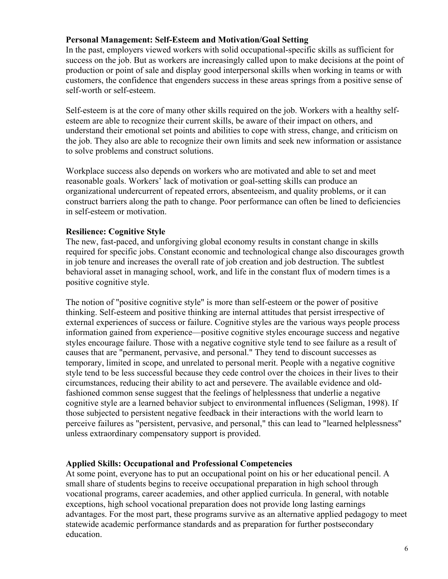### **Personal Management: Self-Esteem and Motivation/Goal Setting**

In the past, employers viewed workers with solid occupational-specific skills as sufficient for success on the job. But as workers are increasingly called upon to make decisions at the point of production or point of sale and display good interpersonal skills when working in teams or with customers, the confidence that engenders success in these areas springs from a positive sense of self-worth or self-esteem.

Self-esteem is at the core of many other skills required on the job. Workers with a healthy selfesteem are able to recognize their current skills, be aware of their impact on others, and understand their emotional set points and abilities to cope with stress, change, and criticism on the job. They also are able to recognize their own limits and seek new information or assistance to solve problems and construct solutions.

Workplace success also depends on workers who are motivated and able to set and meet reasonable goals. Workers' lack of motivation or goal-setting skills can produce an organizational undercurrent of repeated errors, absenteeism, and quality problems, or it can construct barriers along the path to change. Poor performance can often be lined to deficiencies in self-esteem or motivation.

### **Resilience: Cognitive Style**

The new, fast-paced, and unforgiving global economy results in constant change in skills required for specific jobs. Constant economic and technological change also discourages growth in job tenure and increases the overall rate of job creation and job destruction. The subtlest behavioral asset in managing school, work, and life in the constant flux of modern times is a positive cognitive style.

The notion of "positive cognitive style" is more than self-esteem or the power of positive thinking. Self-esteem and positive thinking are internal attitudes that persist irrespective of external experiences of success or failure. Cognitive styles are the various ways people process information gained from experience—positive cognitive styles encourage success and negative styles encourage failure. Those with a negative cognitive style tend to see failure as a result of causes that are "permanent, pervasive, and personal." They tend to discount successes as temporary, limited in scope, and unrelated to personal merit. People with a negative cognitive style tend to be less successful because they cede control over the choices in their lives to their circumstances, reducing their ability to act and persevere. The available evidence and oldfashioned common sense suggest that the feelings of helplessness that underlie a negative cognitive style are a learned behavior subject to environmental influences (Seligman, 1998). If those subjected to persistent negative feedback in their interactions with the world learn to perceive failures as "persistent, pervasive, and personal," this can lead to "learned helplessness" unless extraordinary compensatory support is provided.

### **Applied Skills: Occupational and Professional Competencies**

At some point, everyone has to put an occupational point on his or her educational pencil. A small share of students begins to receive occupational preparation in high school through vocational programs, career academies, and other applied curricula. In general, with notable exceptions, high school vocational preparation does not provide long lasting earnings advantages. For the most part, these programs survive as an alternative applied pedagogy to meet statewide academic performance standards and as preparation for further postsecondary education.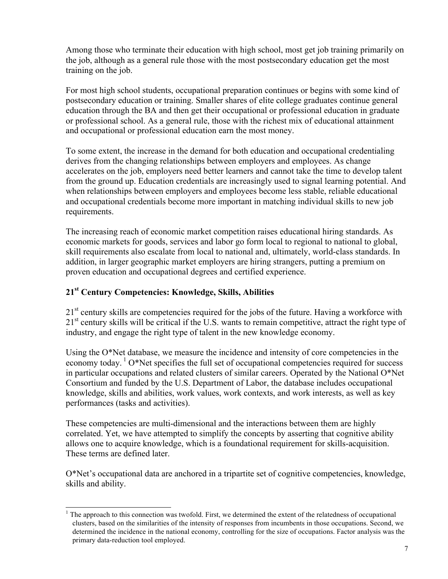Among those who terminate their education with high school, most get job training primarily on the job, although as a general rule those with the most postsecondary education get the most training on the job.

For most high school students, occupational preparation continues or begins with some kind of postsecondary education or training. Smaller shares of elite college graduates continue general education through the BA and then get their occupational or professional education in graduate or professional school. As a general rule, those with the richest mix of educational attainment and occupational or professional education earn the most money.

To some extent, the increase in the demand for both education and occupational credentialing derives from the changing relationships between employers and employees. As change accelerates on the job, employers need better learners and cannot take the time to develop talent from the ground up. Education credentials are increasingly used to signal learning potential. And when relationships between employers and employees become less stable, reliable educational and occupational credentials become more important in matching individual skills to new job requirements.

The increasing reach of economic market competition raises educational hiring standards. As economic markets for goods, services and labor go form local to regional to national to global, skill requirements also escalate from local to national and, ultimately, world-class standards. In addition, in larger geographic market employers are hiring strangers, putting a premium on proven education and occupational degrees and certified experience.

## **21st Century Competencies: Knowledge, Skills, Abilities**

 $21<sup>st</sup>$  century skills are competencies required for the jobs of the future. Having a workforce with  $21<sup>st</sup>$  century skills will be critical if the U.S. wants to remain competitive, attract the right type of industry, and engage the right type of talent in the new knowledge economy.

Using the O\*Net database, we measure the incidence and intensity of core competencies in the economy today.  $1^{\circ}$  O\*Net specifies the full set of occupational competencies required for success in particular occupations and related clusters of similar careers. Operated by the National O\*Net Consortium and funded by the U.S. Department of Labor, the database includes occupational knowledge, skills and abilities, work values, work contexts, and work interests, as well as key performances (tasks and activities).

These competencies are multi-dimensional and the interactions between them are highly correlated. Yet, we have attempted to simplify the concepts by asserting that cognitive ability allows one to acquire knowledge, which is a foundational requirement for skills-acquisition. These terms are defined later.

O\*Net's occupational data are anchored in a tripartite set of cognitive competencies, knowledge, skills and ability.

 $<sup>1</sup>$  The approach to this connection was twofold. First, we determined the extent of the relatedness of occupational</sup> clusters, based on the similarities of the intensity of responses from incumbents in those occupations. Second, we determined the incidence in the national economy, controlling for the size of occupations. Factor analysis was the primary data-reduction tool employed.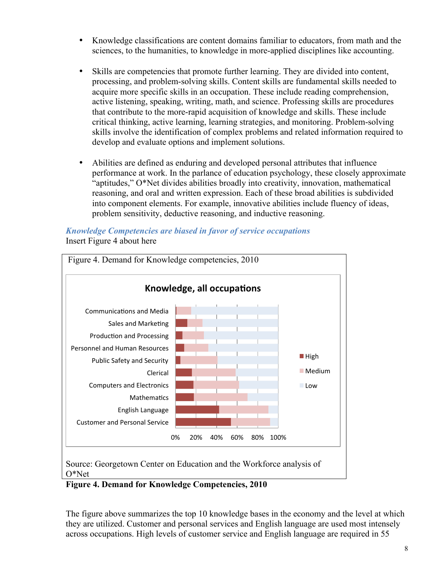- Knowledge classifications are content domains familiar to educators, from math and the sciences, to the humanities, to knowledge in more-applied disciplines like accounting.
- Skills are competencies that promote further learning. They are divided into content, processing, and problem-solving skills. Content skills are fundamental skills needed to acquire more specific skills in an occupation. These include reading comprehension, active listening, speaking, writing, math, and science. Professing skills are procedures that contribute to the more-rapid acquisition of knowledge and skills. These include critical thinking, active learning, learning strategies, and monitoring. Problem-solving skills involve the identification of complex problems and related information required to develop and evaluate options and implement solutions.
- Abilities are defined as enduring and developed personal attributes that influence performance at work. In the parlance of education psychology, these closely approximate "aptitudes," O\*Net divides abilities broadly into creativity, innovation, mathematical reasoning, and oral and written expression. Each of these broad abilities is subdivided into component elements. For example, innovative abilities include fluency of ideas, problem sensitivity, deductive reasoning, and inductive reasoning.

#### *Knowledge Competencies are biased in favor of service occupations* Insert Figure 4 about here



**Figure 4. Demand for Knowledge Competencies, 2010**

The figure above summarizes the top 10 knowledge bases in the economy and the level at which they are utilized. Customer and personal services and English language are used most intensely across occupations. High levels of customer service and English language are required in 55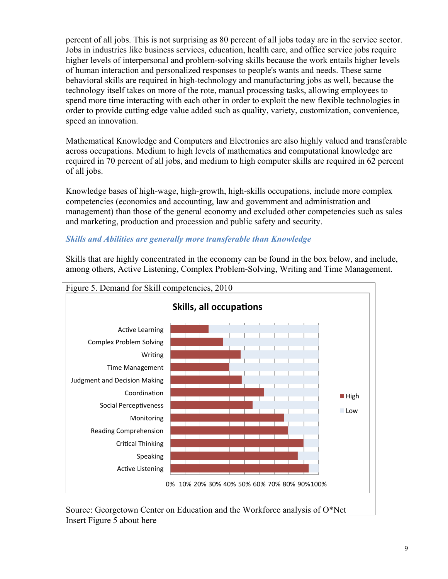percent of all jobs. This is not surprising as 80 percent of all jobs today are in the service sector. Jobs in industries like business services, education, health care, and office service jobs require higher levels of interpersonal and problem-solving skills because the work entails higher levels of human interaction and personalized responses to people's wants and needs. These same behavioral skills are required in high-technology and manufacturing jobs as well, because the technology itself takes on more of the rote, manual processing tasks, allowing employees to spend more time interacting with each other in order to exploit the new flexible technologies in order to provide cutting edge value added such as quality, variety, customization, convenience, speed an innovation.

Mathematical Knowledge and Computers and Electronics are also highly valued and transferable across occupations. Medium to high levels of mathematics and computational knowledge are required in 70 percent of all jobs, and medium to high computer skills are required in 62 percent of all jobs.

Knowledge bases of high-wage, high-growth, high-skills occupations, include more complex competencies (economics and accounting, law and government and administration and management) than those of the general economy and excluded other competencies such as sales and marketing, production and procession and public safety and security.

### *Skills and Abilities are generally more transferable than Knowledge*



Skills that are highly concentrated in the economy can be found in the box below, and include, among others, Active Listening, Complex Problem-Solving, Writing and Time Management.

Source: Georgetown Center on Education and the Workforce analysis of O\*Net Insert Figure 5 about here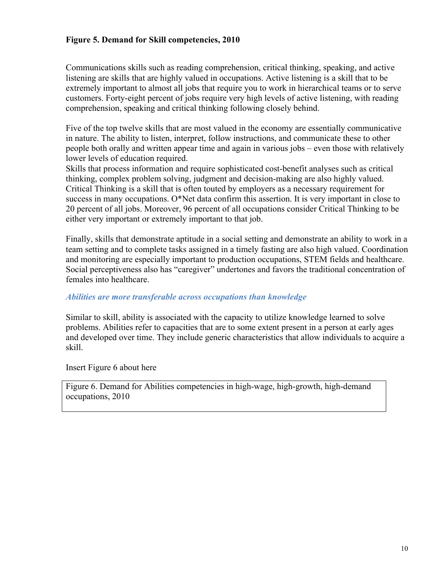#### **Figure 5. Demand for Skill competencies, 2010**

Communications skills such as reading comprehension, critical thinking, speaking, and active listening are skills that are highly valued in occupations. Active listening is a skill that to be extremely important to almost all jobs that require you to work in hierarchical teams or to serve customers. Forty-eight percent of jobs require very high levels of active listening, with reading comprehension, speaking and critical thinking following closely behind.

Five of the top twelve skills that are most valued in the economy are essentially communicative in nature. The ability to listen, interpret, follow instructions, and communicate these to other people both orally and written appear time and again in various jobs – even those with relatively lower levels of education required.

Skills that process information and require sophisticated cost-benefit analyses such as critical thinking, complex problem solving, judgment and decision-making are also highly valued. Critical Thinking is a skill that is often touted by employers as a necessary requirement for success in many occupations. O\*Net data confirm this assertion. It is very important in close to 20 percent of all jobs. Moreover, 96 percent of all occupations consider Critical Thinking to be either very important or extremely important to that job.

Finally, skills that demonstrate aptitude in a social setting and demonstrate an ability to work in a team setting and to complete tasks assigned in a timely fasting are also high valued. Coordination and monitoring are especially important to production occupations, STEM fields and healthcare. Social perceptiveness also has "caregiver" undertones and favors the traditional concentration of females into healthcare.

#### *Abilities are more transferable across occupations than knowledge*

Similar to skill, ability is associated with the capacity to utilize knowledge learned to solve problems. Abilities refer to capacities that are to some extent present in a person at early ages and developed over time. They include generic characteristics that allow individuals to acquire a skill.

Insert Figure 6 about here

Figure 6. Demand for Abilities competencies in high-wage, high-growth, high-demand occupations, 2010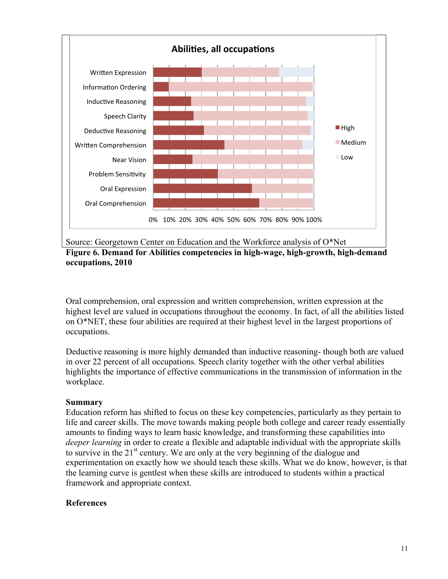

Source: Georgetown Center on Education and the Workforce analysis of O\*Net **Figure 6. Demand for Abilities competencies in high-wage, high-growth, high-demand occupations, 2010**

Oral comprehension, oral expression and written comprehension, written expression at the highest level are valued in occupations throughout the economy. In fact, of all the abilities listed on O\*NET, these four abilities are required at their highest level in the largest proportions of occupations.

Deductive reasoning is more highly demanded than inductive reasoning- though both are valued in over 22 percent of all occupations. Speech clarity together with the other verbal abilities highlights the importance of effective communications in the transmission of information in the workplace.

### **Summary**

Education reform has shifted to focus on these key competencies, particularly as they pertain to life and career skills. The move towards making people both college and career ready essentially amounts to finding ways to learn basic knowledge, and transforming these capabilities into *deeper learning* in order to create a flexible and adaptable individual with the appropriate skills to survive in the  $21<sup>st</sup>$  century. We are only at the very beginning of the dialogue and experimentation on exactly how we should teach these skills. What we do know, however, is that the learning curve is gentlest when these skills are introduced to students within a practical framework and appropriate context.

### **References**